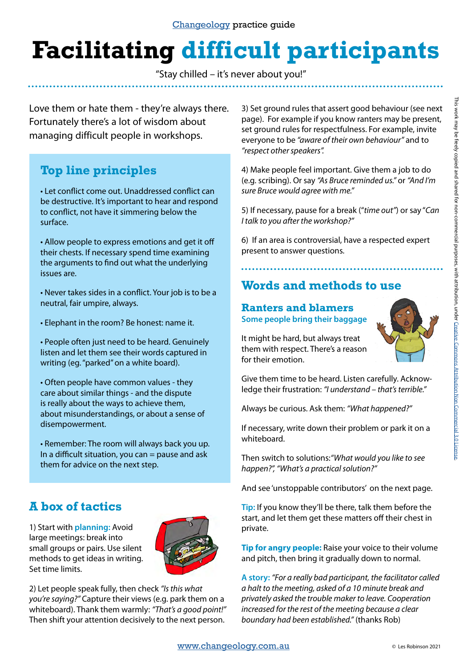# **Facilitating difficult participants**

"Stay chilled – it's never about you!"

Love them or hate them - they're always there. Fortunately there's a lot of wisdom about managing difficult people in workshops.

# **Top line principles**

• Let conflict come out. Unaddressed conflict can be destructive. It's important to hear and respond to conflict, not have it simmering below the surface.

• Allow people to express emotions and get it off their chests. If necessary spend time examining the arguments to find out what the underlying issues are.

• Never takes sides in a conflict. Your job is to be a neutral, fair umpire, always.

• Elephant in the room? Be honest: name it.

• People often just need to be heard. Genuinely listen and let them see their words captured in writing (eg. "parked" on a white board).

• Often people have common values - they care about similar things - and the dispute is really about the ways to achieve them, about misunderstandings, or about a sense of disempowerment.

• Remember: The room will always back you up. In a difficult situation, you can  $=$  pause and ask them for advice on the next step.

# **A box of tactics**

1) Start with **planning:** Avoid large meetings: break into small groups or pairs. Use silent methods to get ideas in writing. Set time limits.



2) Let people speak fully, then check *"Is this what you're saying?"* Capture their views (e.g. park them on a whiteboard). Thank them warmly: *"That's a good point!"*  Then shift your attention decisively to the next person.

3) Set ground rules that assert good behaviour (see next page). For example if you know ranters may be present, set ground rules for respectfulness. For example, invite everyone to be *"aware of their own behaviour"* and to *"respect other speakers".*

4) Make people feel important. Give them a job to do (e.g. scribing). Or say *"As Bruce reminded us."* or *"And I'm sure Bruce would agree with me."* 

5) If necessary, pause for a break ("*time out"*) or say "*Can I talk to you after the workshop?"* 

6) If an area is controversial, have a respected expert present to answer questions.

# **Words and methods to use**

#### **Ranters and blamers Some people bring their baggage**



It might be hard, but always treat them with respect. There's a reason for their emotion.

Give them time to be heard. Listen carefully. Acknowledge their frustration: *"I understand – that's terrible."* 

Always be curious. Ask them: *"What happened?"*

If necessary, write down their problem or park it on a whiteboard.

Then switch to solutions:*"What would you like to see happen?", "What's a practical solution?"*

And see 'unstoppable contributors' on the next page.

**Tip:** If you know they'll be there, talk them before the start, and let them get these matters off their chest in private.

**Tip for angry people:** Raise your voice to their volume and pitch, then bring it gradually down to normal.

**A story:** *"For a really bad participant, the facilitator called a halt to the meeting, asked of a 10 minute break and privately asked the trouble maker to leave. Cooperation increased for the rest of the meeting because a clear boundary had been established."* (thanks Rob)